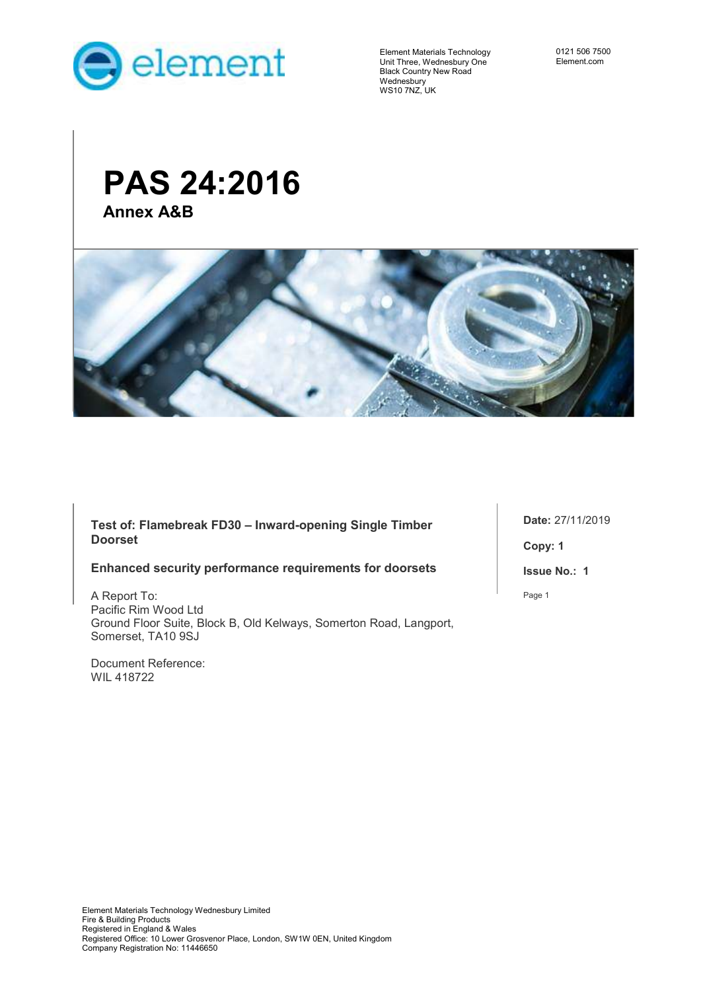

 $\overline{\phantom{a}}$ 

Element Materials Technology Unit Three, Wednesbury One Black Country New Road Wednesbury WS10 7NZ, UK

0121 506 7500 Element.com

# **PAS 24:2016 Annex A&B**



**Test of: Flamebreak FD30 – Inward-opening Single Timber Doorset** 

#### **Enhanced security performance requirements for doorsets**

A Report To: Pacific Rim Wood Ltd Ground Floor Suite, Block B, Old Kelways, Somerton Road, Langport, Somerset, TA10 9SJ

Document Reference: WIL 418722

**Date:** 27/11/2019 **Copy: 1 Issue No.: 1**  Page 1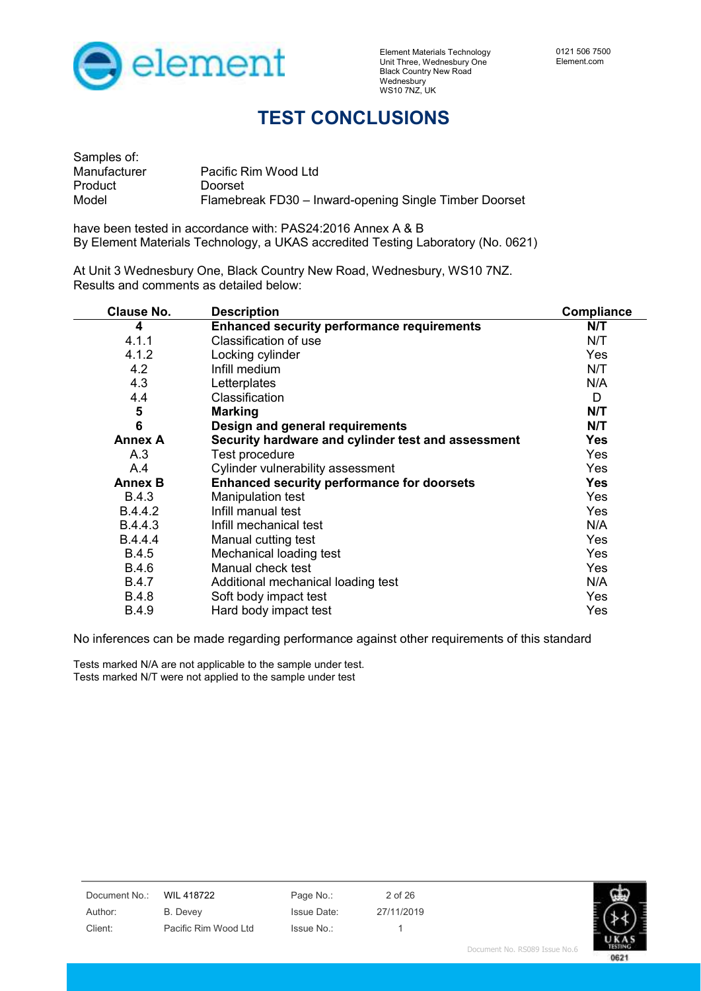

## **TEST CONCLUSIONS**

| Samples of:  |                                                        |
|--------------|--------------------------------------------------------|
| Manufacturer | Pacific Rim Wood Ltd                                   |
| Product      | Doorset                                                |
| Model        | Flamebreak FD30 - Inward-opening Single Timber Doorset |

have been tested in accordance with: PAS24:2016 Annex A & B By Element Materials Technology, a UKAS accredited Testing Laboratory (No. 0621)

At Unit 3 Wednesbury One, Black Country New Road, Wednesbury, WS10 7NZ. Results and comments as detailed below:

| <b>Clause No.</b> | <b>Description</b>                                 | Compliance |
|-------------------|----------------------------------------------------|------------|
| 4                 | <b>Enhanced security performance requirements</b>  | N/T        |
| 4.1.1             | Classification of use                              | N/T        |
| 4.1.2             | Locking cylinder                                   | Yes        |
| 4.2               | Infill medium                                      | N/T        |
| 4.3               | Letterplates                                       | N/A        |
| 4.4               | Classification                                     | D          |
| 5                 | <b>Marking</b>                                     | N/T        |
| $6\phantom{1}6$   | Design and general requirements                    | N/T        |
| <b>Annex A</b>    | Security hardware and cylinder test and assessment | Yes        |
| A.3               | Test procedure                                     | Yes        |
| A.4               | Cylinder vulnerability assessment                  | Yes        |
| <b>Annex B</b>    | <b>Enhanced security performance for doorsets</b>  | <b>Yes</b> |
| <b>B.4.3</b>      | <b>Manipulation test</b>                           | Yes        |
| B.4.4.2           | Infill manual test                                 | Yes        |
| B.4.4.3           | Infill mechanical test                             | N/A        |
| B.4.4.4           | Manual cutting test                                | Yes        |
| <b>B.4.5</b>      | Mechanical loading test                            | Yes        |
| <b>B.4.6</b>      | Manual check test                                  | Yes        |
| <b>B.4.7</b>      | Additional mechanical loading test                 | N/A        |
| <b>B.4.8</b>      | Soft body impact test                              | Yes        |
| B.4.9             | Hard body impact test                              | Yes        |

No inferences can be made regarding performance against other requirements of this standard

Tests marked N/A are not applicable to the sample under test. Tests marked N/T were not applied to the sample under test

| Document No.: | WIL 418722           | Page No.:          | 2 of 26    |                               |            |
|---------------|----------------------|--------------------|------------|-------------------------------|------------|
| Author:       | B. Devey             | <b>Issue Date:</b> | 27/11/2019 |                               |            |
| Client:       | Pacific Rim Wood Ltd | Issue No.:         |            |                               |            |
|               |                      |                    |            | Document No. RSO89 Tesue No 6 | ты<br>1811 |

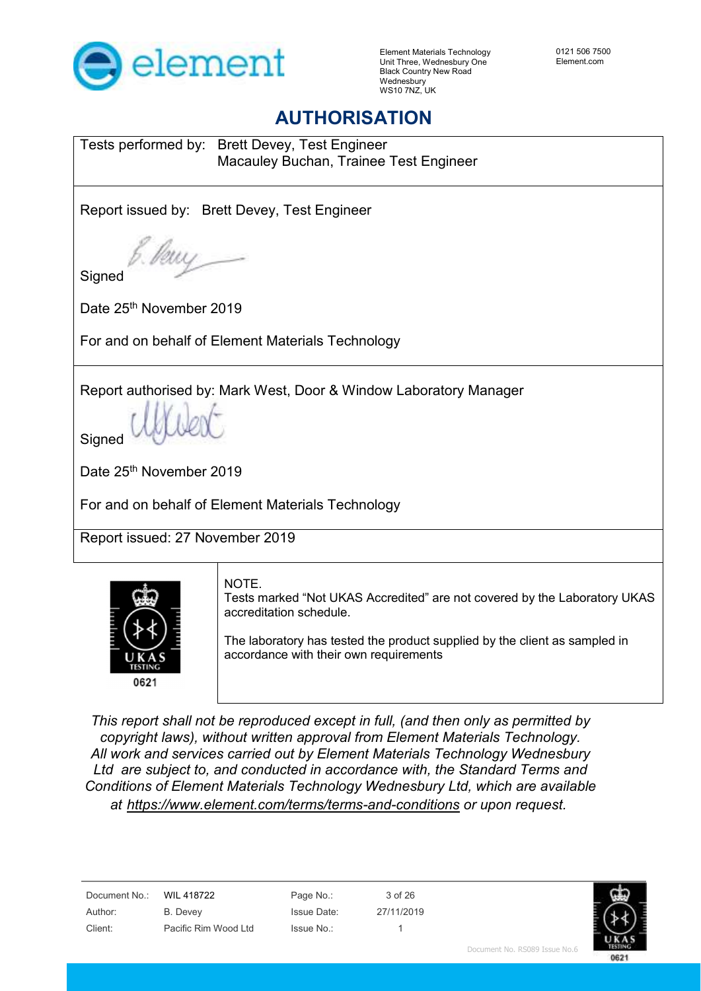

## **AUTHORISATION**

Tests performed by: Brett Devey, Test Engineer Macauley Buchan, Trainee Test Engineer

Report issued by: Brett Devey, Test Engineer

**Signed** 

Date 25<sup>th</sup> November 2019

For and on behalf of Element Materials Technology

Report authorised by: Mark West, Door & Window Laboratory Manager

**Signed** 

Date 25<sup>th</sup> November 2019

For and on behalf of Element Materials Technology

Report issued: 27 November 2019



NOTE.

Tests marked "Not UKAS Accredited" are not covered by the Laboratory UKAS accreditation schedule.

The laboratory has tested the product supplied by the client as sampled in accordance with their own requirements

 *This report shall not be reproduced except in full, (and then only as permitted by copyright laws), without written approval from Element Materials Technology. All work and services carried out by Element Materials Technology Wednesbury Ltd are subject to, and conducted in accordance with, the Standard Terms and Conditions of Element Materials Technology Wednesbury Ltd, which are available at https://www.element.com/terms/terms-and-conditions or upon request.*

Document No.: WIL 418722 Page No.: 3 of 26

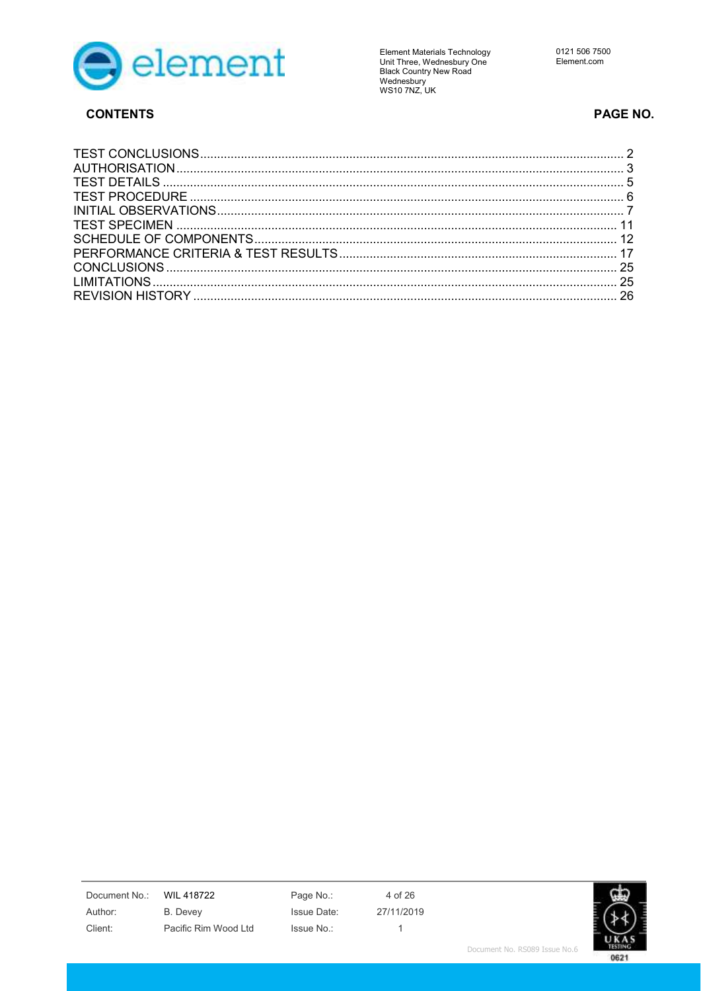

**CONTENTS** 

**Element Materials Technology** Eientein waternam version<br>Unit Three, Wednesbury One<br>Black Country New Road<br>Wednesbury<br>WS10 7NZ, UK

### PAGE NO.

Document No.:

Author: Client:

**WIL 418722 B.** Devey Pacific Rim Wood Ltd

Page No.: Issue Date: Issue No.:

4 of 26 27/11/2019  $\overline{1}$ 

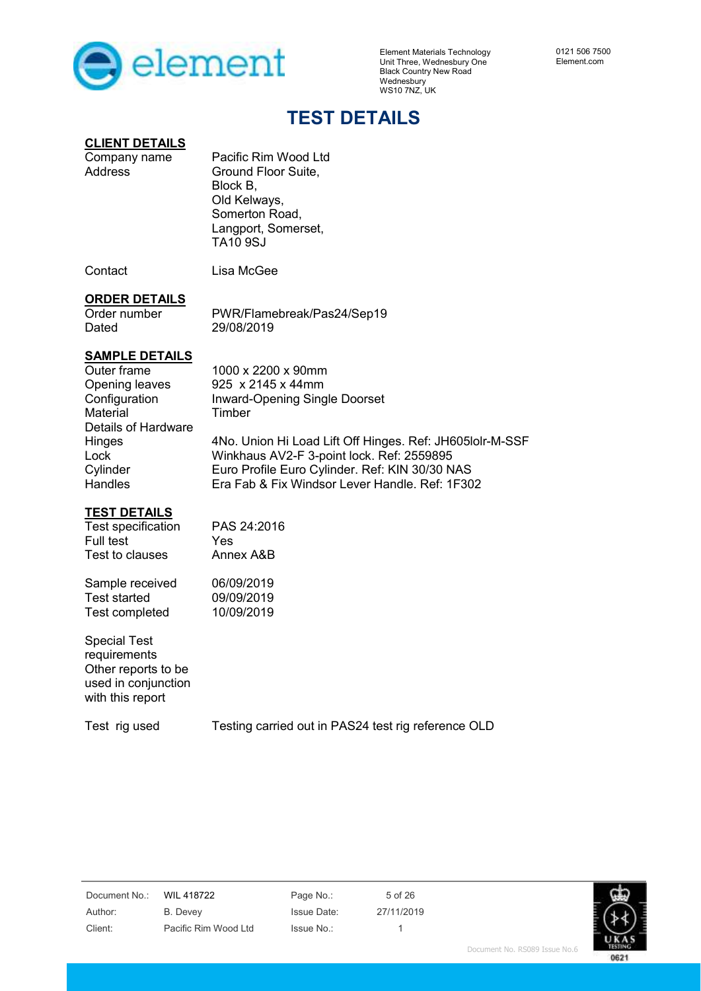

## **TEST DETAILS**

# **CLIENT DETAILS**<br>Company name

Pacific Rim Wood Ltd Address Ground Floor Suite, Block B, Old Kelways, Somerton Road, Langport, Somerset, TA10 9SJ

Contact Lisa McGee

#### **ORDER DETAILS**

Order number PWR/Flamebreak/Pas24/Sep19<br>Dated 29/08/2019 29/08/2019

### **SAMPLE DETAILS**

Outer frame 1000 x 2200 x 90mm Opening leaves 925 x 2145 x 44mm Configuration Inward-Opening Single Doorset Material Timber Details of Hardware Hinges Lock **Cylinder Handles** 4No. Union Hi Load Lift Off Hinges. Ref: JH605lolr-M-SSF Winkhaus AV2-F 3-point lock. Ref: 2559895 Euro Profile Euro Cylinder. Ref: KIN 30/30 NAS Era Fab & Fix Windsor Lever Handle. Ref: 1F302

### **TEST DETAILS**

| PAS 24:2016 |
|-------------|
| Yes         |
| Annex A&B   |
| 06/09/2019  |
| 09/09/2019  |
| 10/09/2019  |
|             |
|             |

Special Test requirements Other reports to be used in conjunction with this report

Test rig used Testing carried out in PAS24 test rig reference OLD

| Document No.: | <b>WIL 41</b> |
|---------------|---------------|
| Author:       | B. Deve       |
| Client:       | Pacific       |

ev Issue Date: 27/11/2019 Rim Wood Ltd Issue No.: 1

8722 Page No.: 5 of 26

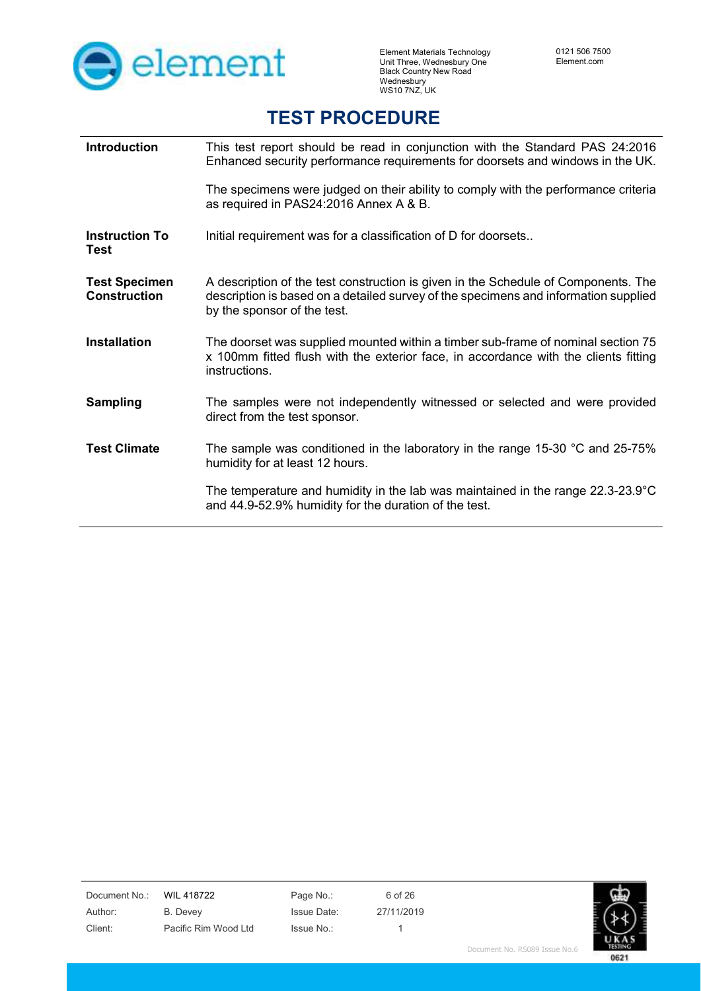

## **TEST PROCEDURE**

| <b>Introduction</b>                         | This test report should be read in conjunction with the Standard PAS 24:2016<br>Enhanced security performance requirements for doorsets and windows in the UK.                                           |
|---------------------------------------------|----------------------------------------------------------------------------------------------------------------------------------------------------------------------------------------------------------|
|                                             | The specimens were judged on their ability to comply with the performance criteria<br>as required in PAS24:2016 Annex A & B.                                                                             |
| <b>Instruction To</b><br><b>Test</b>        | Initial requirement was for a classification of D for doorsets                                                                                                                                           |
| <b>Test Specimen</b><br><b>Construction</b> | A description of the test construction is given in the Schedule of Components. The<br>description is based on a detailed survey of the specimens and information supplied<br>by the sponsor of the test. |
| <b>Installation</b>                         | The doorset was supplied mounted within a timber sub-frame of nominal section 75<br>x 100mm fitted flush with the exterior face, in accordance with the clients fitting<br>instructions.                 |
| <b>Sampling</b>                             | The samples were not independently witnessed or selected and were provided<br>direct from the test sponsor.                                                                                              |
| <b>Test Climate</b>                         | The sample was conditioned in the laboratory in the range 15-30 $\degree$ C and 25-75%<br>humidity for at least 12 hours.                                                                                |
|                                             | The temperature and humidity in the lab was maintained in the range $22.3-23.9^{\circ}C$<br>and 44.9-52.9% humidity for the duration of the test.                                                        |

Document No.: WIL 418722 Page No.: 6 of 26 Author: B. Devey Issue Date: 27/11/2019 Client: Pacific Rim Wood Ltd Issue No.: 1

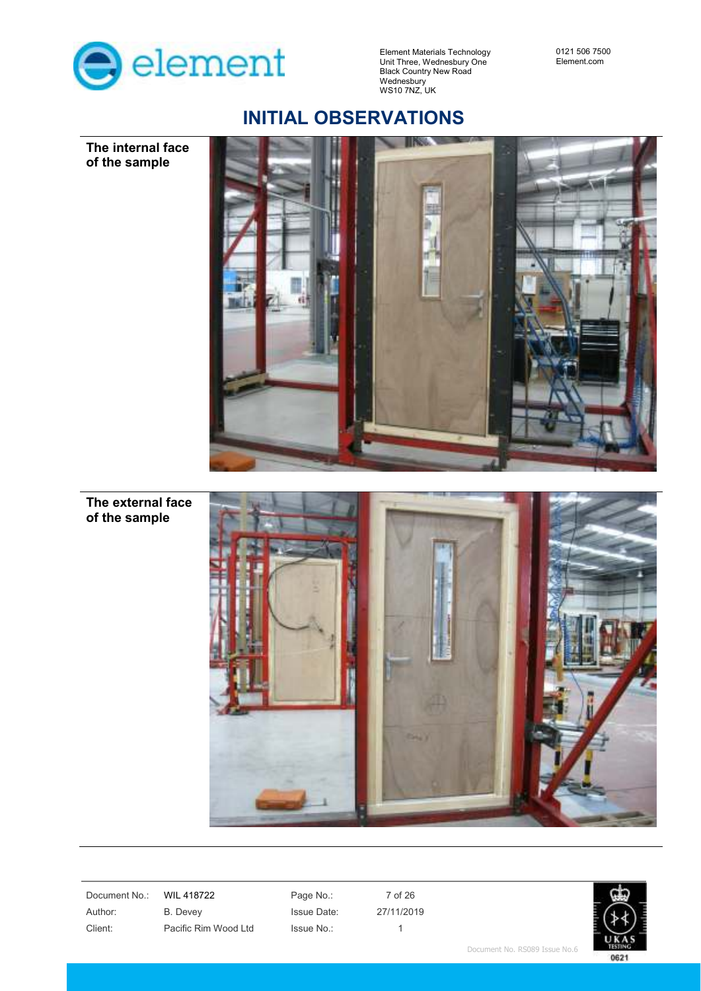

0121 506 7500 Element.com

## **INITIAL OBSERVATIONS**



**The internal face of the sample** 

**The external face of the sample** 



Document No.: WIL 418722 Page No.: 7 of 26 Author: B. Devey Issue Date: 27/11/2019 Client: Pacific Rim Wood Ltd Issue No.: 1

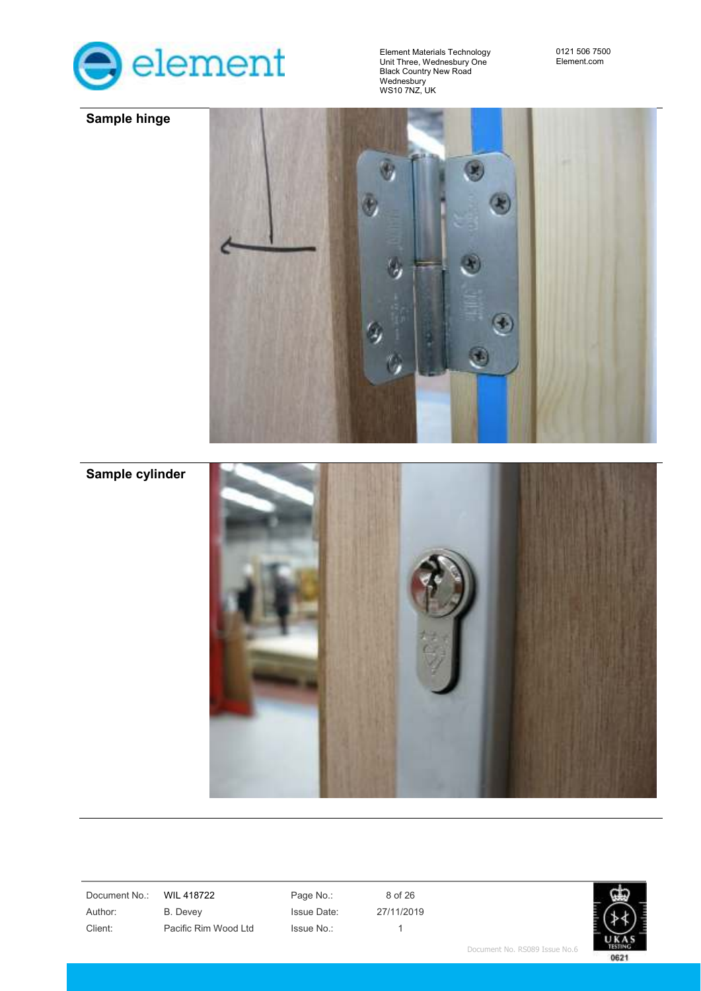

**Sample hinge** 



**Sample cylinder** 



Document No.: WIL 418722 Page No.: 8 of 26

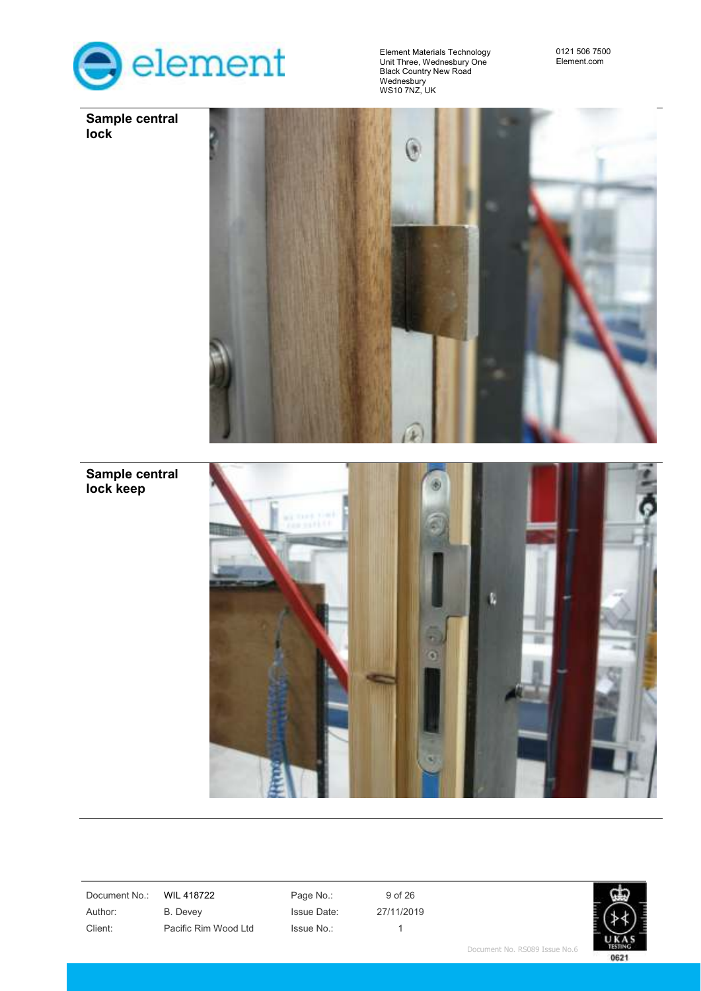

**Sample central** 

**lock** 

Element Materials Technology Unit Three, Wednesbury One Black Country New Road Wednesbury WS10 7NZ, UK

0121 506 7500 Element.com



**Sample central lock keep** 



Document No.: WIL 418722 Page No.: 9 of 26

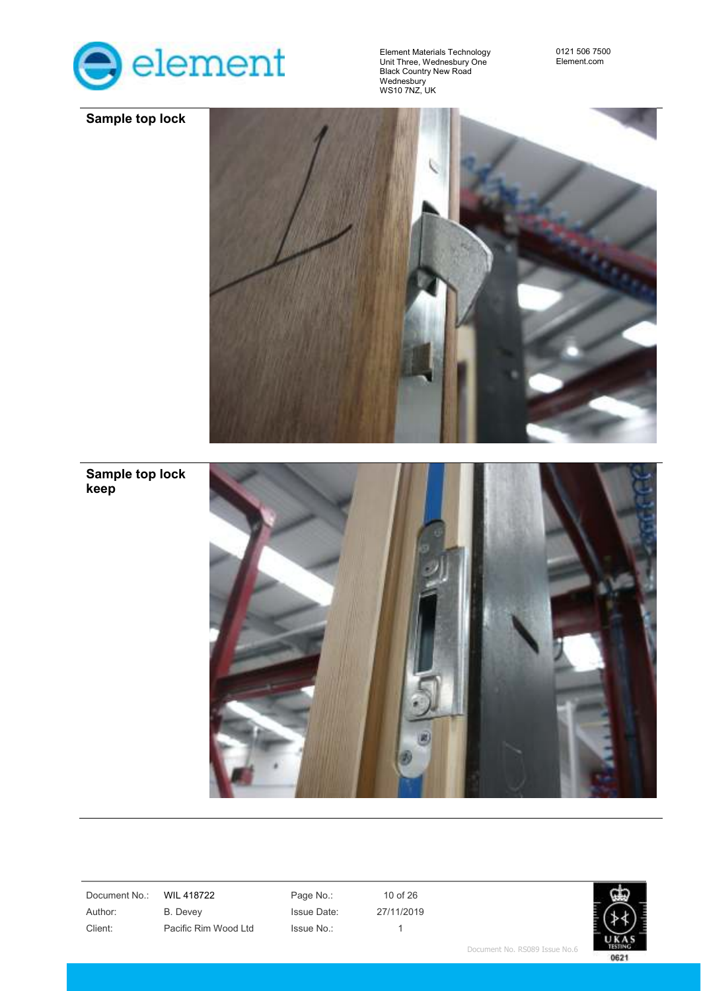



**Sample top lock keep** 

Document No.: WIL 418722 Page No.: 10 of 26

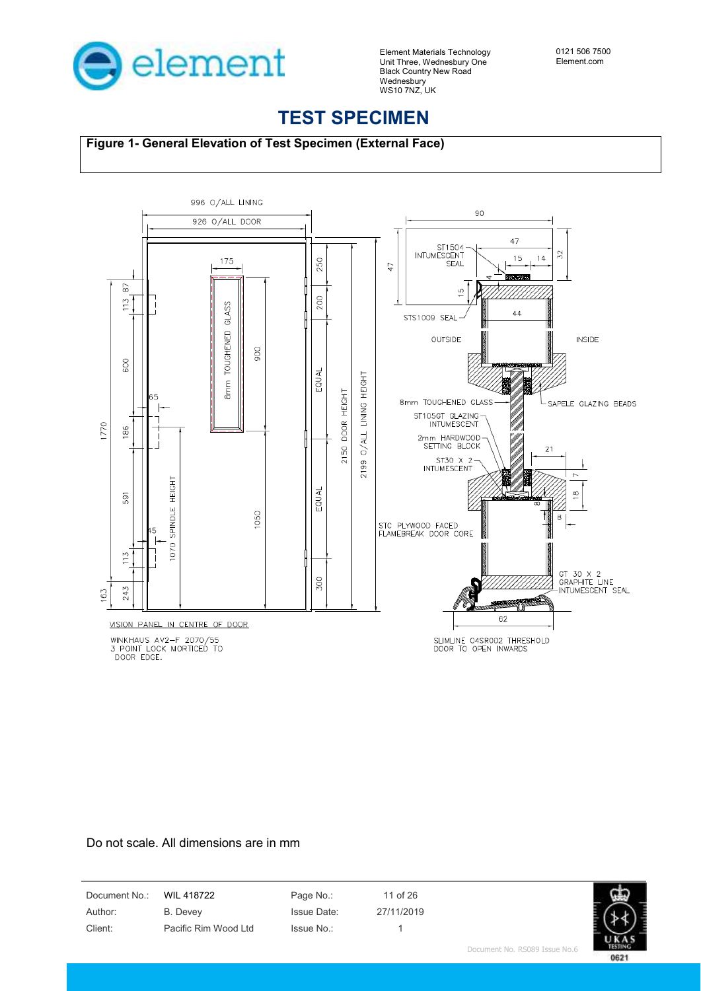

## **TEST SPECIMEN**

**Figure 1- General Elevation of Test Specimen (External Face)**



WINKHAUS AV2-F 2070/55<br>3 POINT LOCK MORTICED TO<br>DOOR EDGE.

SLIMLINE 04SR002 THRESHOLD<br>DOOR TO OPEN INWARDS

#### Do not scale. All dimensions are in mm

Document No.: WIL 418722 Page No.: 11 of 26 Author: B. Devey Issue Date: 27/11/2019 Client: Pacific Rim Wood Ltd Issue No.: 1

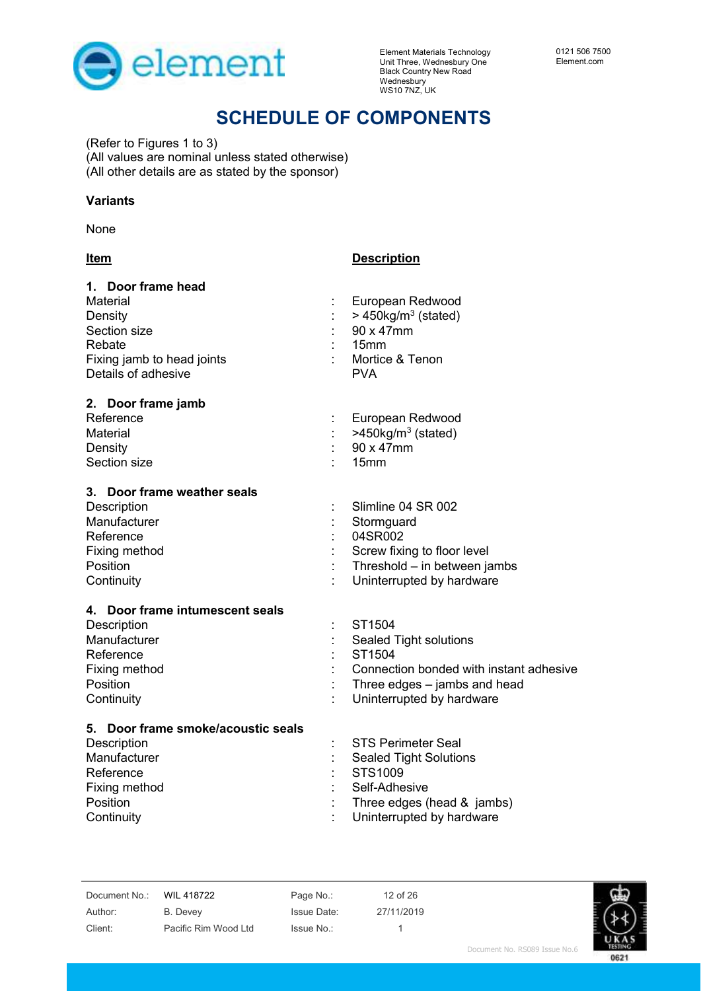

## **SCHEDULE OF COMPONENTS**

(Refer to Figures 1 to 3) (All values are nominal unless stated otherwise) (All other details are as stated by the sponsor)

**Item Description** 

#### **Variants**

None

| 1. Door frame head                 |                                         |
|------------------------------------|-----------------------------------------|
| Material                           | European Redwood                        |
| Density                            | $>$ 450kg/m <sup>3</sup> (stated)       |
| Section size                       | 90 x 47mm                               |
| Rebate                             | 15 <sub>mm</sub>                        |
| Fixing jamb to head joints         | Mortice & Tenon                         |
| Details of adhesive                | <b>PVA</b>                              |
| 2. Door frame jamb                 |                                         |
| Reference                          | European Redwood                        |
| Material                           | $>450$ kg/m <sup>3</sup> (stated)       |
| Density                            | 90 x 47mm                               |
| Section size                       | 15mm                                    |
| 3. Door frame weather seals        |                                         |
| Description                        | Slimline 04 SR 002                      |
| Manufacturer                       | Stormguard                              |
| Reference                          | 04SR002                                 |
| Fixing method                      | Screw fixing to floor level             |
| Position                           | Threshold - in between jambs            |
| Continuity                         | Uninterrupted by hardware               |
| 4. Door frame intumescent seals    |                                         |
| Description                        | ST1504                                  |
| Manufacturer                       | Sealed Tight solutions                  |
| Reference                          | ST1504                                  |
| Fixing method                      | Connection bonded with instant adhesive |
| Position                           | Three edges - jambs and head            |
| Continuity                         | Uninterrupted by hardware               |
| 5. Door frame smoke/acoustic seals |                                         |
| Description                        | <b>STS Perimeter Seal</b>               |
| Manufacturer                       | <b>Sealed Tight Solutions</b>           |
| Reference                          | STS1009                                 |
| Fixing method                      | Self-Adhesive                           |
| Position                           | Three edges (head & jambs)              |
| Continuity                         | Uninterrupted by hardware               |

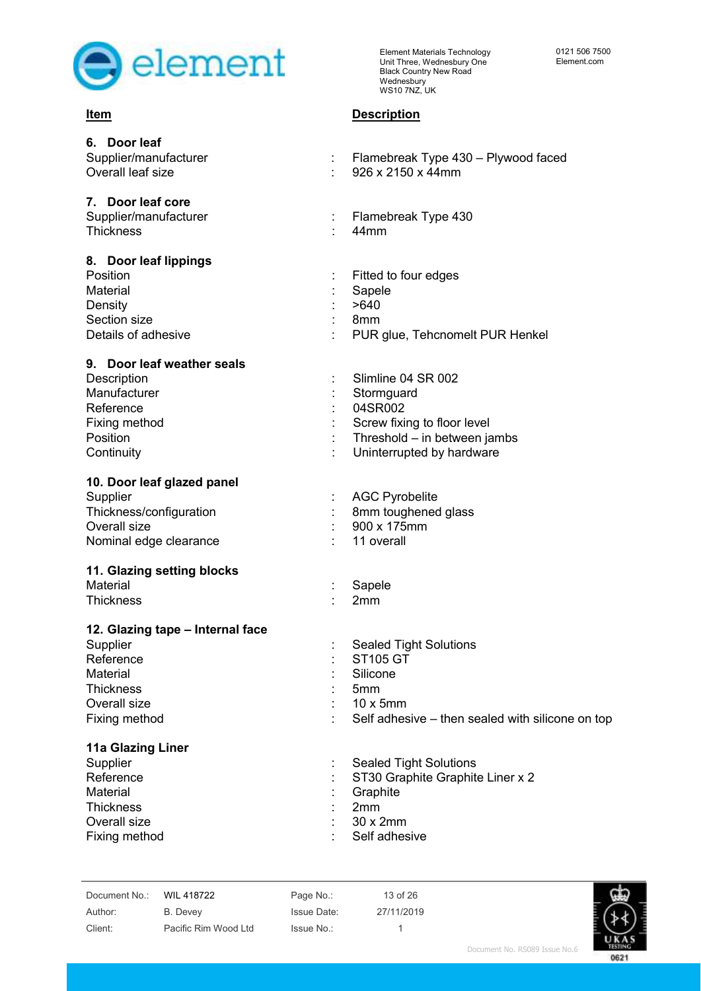

### **Item Description**

| 6. Door leaf<br>Supplier/manufacturer<br>Overall leaf size                                                                 | Flamebreak Type 430 - Plywood faced<br>926 x 2150 x 44mm                                                                                                |
|----------------------------------------------------------------------------------------------------------------------------|---------------------------------------------------------------------------------------------------------------------------------------------------------|
| 7. Door leaf core<br>Supplier/manufacturer<br><b>Thickness</b>                                                             | Flamebreak Type 430<br>44mm                                                                                                                             |
| 8. Door leaf lippings<br>Position<br>Material<br>Density<br>Section size<br>Details of adhesive                            | Fitted to four edges<br>Sapele<br>>640<br>8 <sub>mm</sub><br>PUR glue, Tehcnomelt PUR Henkel                                                            |
| 9. Door leaf weather seals<br>Description<br>Manufacturer<br>Reference<br>Fixing method<br>Position<br>Continuity          | Slimline 04 SR 002<br>Stormguard<br>04SR002<br>Screw fixing to floor level<br>Threshold - in between jambs<br>Uninterrupted by hardware                 |
| 10. Door leaf glazed panel<br>Supplier<br>Thickness/configuration<br>Overall size<br>Nominal edge clearance                | <b>AGC Pyrobelite</b><br>8mm toughened glass<br>900 x 175mm<br>11 overall                                                                               |
| 11. Glazing setting blocks<br>Material<br><b>Thickness</b>                                                                 | Sapele<br>2mm                                                                                                                                           |
| 12. Glazing tape - Internal face<br>Supplier<br>Reference<br>Material<br><b>Thickness</b><br>Overall size<br>Fixing method | <b>Sealed Tight Solutions</b><br><b>ST105 GT</b><br>Silicone<br>5 <sub>mm</sub><br>$10 \times 5$ mm<br>Self adhesive - then sealed with silicone on top |
| 11a Glazing Liner<br>Supplier<br>Reference<br>Material<br><b>Thickness</b><br>Overall size<br>Fixing method                | <b>Sealed Tight Solutions</b><br>ST30 Graphite Graphite Liner x 2<br>Graphite<br>2mm<br>30 x 2mm<br>Self adhesive                                       |

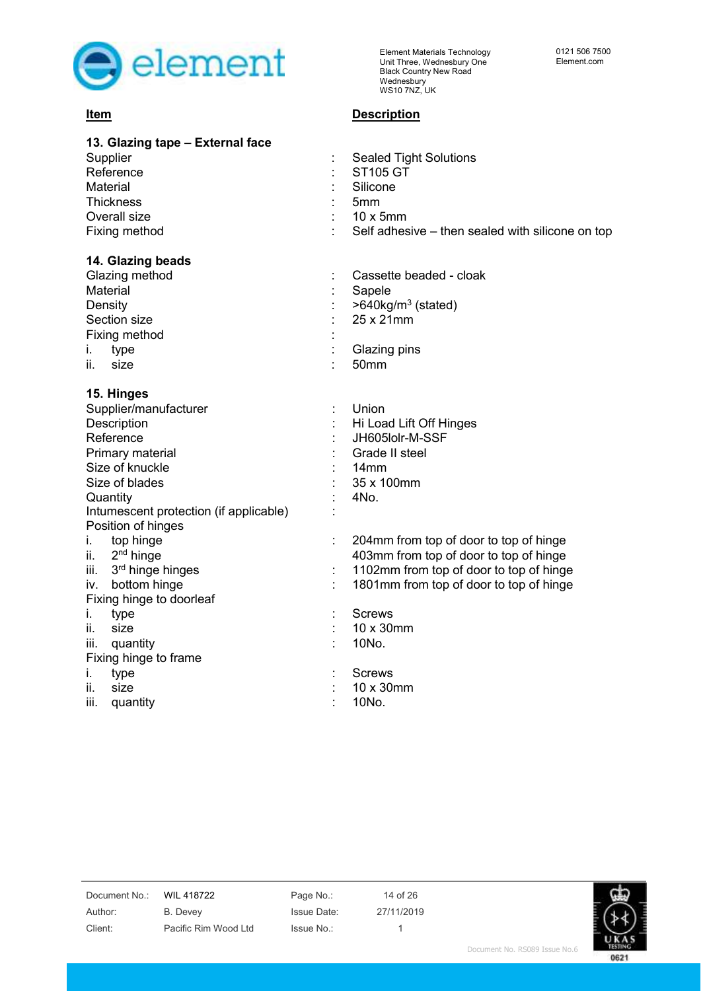

### **Item Description**

| 13. Glazing tape - External face<br>Supplier<br>Reference<br>Material<br><b>Thickness</b><br>Overall size<br>Fixing method                                                                           | ÷                   | <b>Sealed Tight Solutions</b><br><b>ST105 GT</b><br>Silicone<br>5mm<br>$10 \times 5$ mm<br>Self adhesive – then sealed with silicone on top                                                          |
|------------------------------------------------------------------------------------------------------------------------------------------------------------------------------------------------------|---------------------|------------------------------------------------------------------------------------------------------------------------------------------------------------------------------------------------------|
| 14. Glazing beads<br>Glazing method<br>Material<br>Density<br>Section size<br>Fixing method<br>type<br>İ.<br>size<br>ii.                                                                             |                     | Cassette beaded - cloak<br>Sapele<br>$>640$ kg/m <sup>3</sup> (stated)<br>25 x 21mm<br>Glazing pins<br>50mm                                                                                          |
| 15. Hinges<br>Supplier/manufacturer<br>Description<br>Reference<br>Primary material<br>Size of knuckle<br>Size of blades<br>Quantity<br>Intumescent protection (if applicable)<br>Position of hinges | t                   | Union<br>Hi Load Lift Off Hinges<br>JH605lolr-M-SSF<br>Grade II steel<br>14mm<br>35 x 100mm<br>4No.                                                                                                  |
| top hinge<br>i.<br>2 <sup>nd</sup> hinge<br>ii.<br>3rd hinge hinges<br>Ш.<br>bottom hinge<br>iv.<br>Fixing hinge to doorleaf<br>İ.<br>type<br>size<br>ii.                                            | t<br>$\ddot{\cdot}$ | 204mm from top of door to top of hinge<br>403mm from top of door to top of hinge<br>1102mm from top of door to top of hinge<br>1801mm from top of door to top of hinge<br><b>Screws</b><br>10 x 30mm |
| iii.<br>quantity<br>Fixing hinge to frame<br>type<br>İ.<br>size<br>ii.                                                                                                                               |                     | 10No.<br><b>Screws</b><br>10 x 30mm                                                                                                                                                                  |
| quantity<br>iii.                                                                                                                                                                                     |                     | 10No.                                                                                                                                                                                                |

Document No.: WIL 418722 Page No.: 14 of 26 Author: B. Devey Issue Date: 27/11/2019

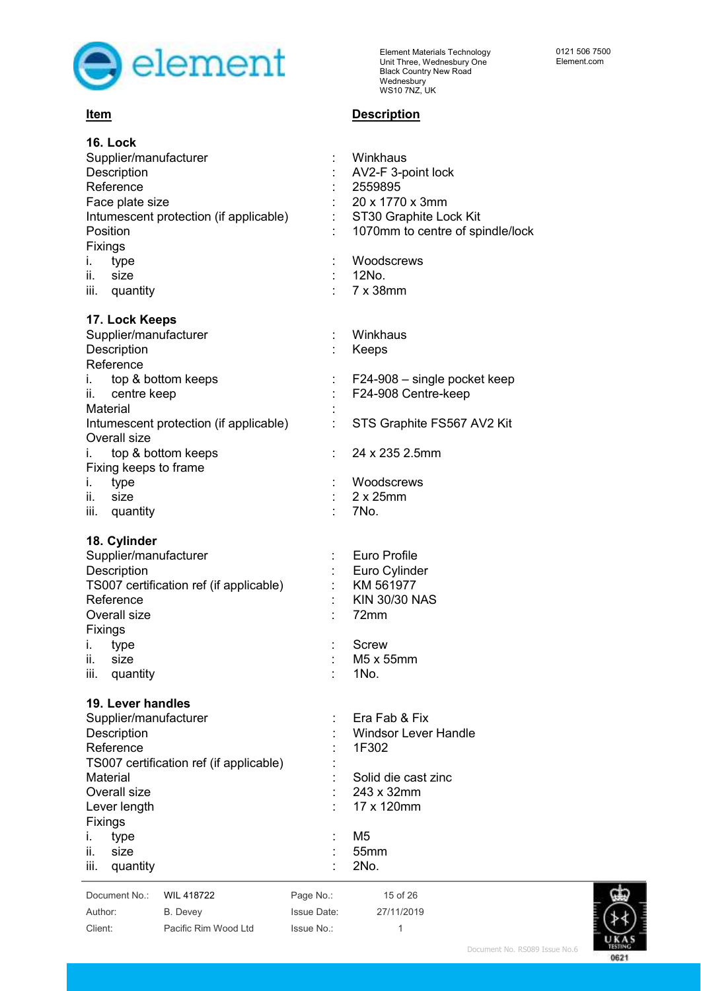

### **Item Description**

| <b>16. Lock</b><br>Supplier/manufacturer<br>Description<br>Reference<br>Face plate size<br>Intumescent protection (if applicable)<br>Position<br>Fixings<br>İ.<br>type<br>size<br>ii.<br>iii. quantity                    | Winkhaus<br>AV2-F 3-point lock<br>2559895<br>20 x 1770 x 3mm<br>ST30 Graphite Lock Kit<br>1070mm to centre of spindle/lock<br>Woodscrews<br>12No.<br>7 x 38mm |
|---------------------------------------------------------------------------------------------------------------------------------------------------------------------------------------------------------------------------|---------------------------------------------------------------------------------------------------------------------------------------------------------------|
| 17. Lock Keeps<br>Supplier/manufacturer<br>Description<br>Reference                                                                                                                                                       | Winkhaus<br>Keeps                                                                                                                                             |
| i. top & bottom keeps<br>ii. centre keep<br>Material                                                                                                                                                                      | t<br>F24-908 – single pocket keep<br>F24-908 Centre-keep                                                                                                      |
| Intumescent protection (if applicable)<br>Overall size                                                                                                                                                                    | STS Graphite FS567 AV2 Kit                                                                                                                                    |
| i. top & bottom keeps<br>Fixing keeps to frame<br>type<br>Ι.                                                                                                                                                              | 24 x 235 2.5mm<br>Woodscrews                                                                                                                                  |
| ii.<br>size<br>iii. quantity                                                                                                                                                                                              | $2 \times 25$ mm<br>7No.                                                                                                                                      |
| 18. Cylinder<br>Supplier/manufacturer<br>Description<br>TS007 certification ref (if applicable)<br>Reference<br>Overall size<br>Fixings<br>type<br>ı.                                                                     | <b>Euro Profile</b><br>Euro Cylinder<br>KM 561977<br><b>KIN 30/30 NAS</b><br>72mm<br><b>Screw</b>                                                             |
| ii. size<br>iii.<br>quantity                                                                                                                                                                                              | M5 x 55mm<br>1No.                                                                                                                                             |
| 19. Lever handles<br>Supplier/manufacturer<br>Description<br>Reference<br>TS007 certification ref (if applicable)<br>Material<br>Overall size<br>Lever length<br>Fixings<br>type<br>Ι.<br>ii.<br>size<br>quantity<br>iii. | Era Fab & Fix<br><b>Windsor Lever Handle</b><br>1F302<br>Solid die cast zinc<br>243 x 32mm<br>17 x 120mm<br>M <sub>5</sub><br>55mm<br>2No.                    |
| Document No.:<br>WIL 418722                                                                                                                                                                                               | Page No.:<br>15 of 26                                                                                                                                         |



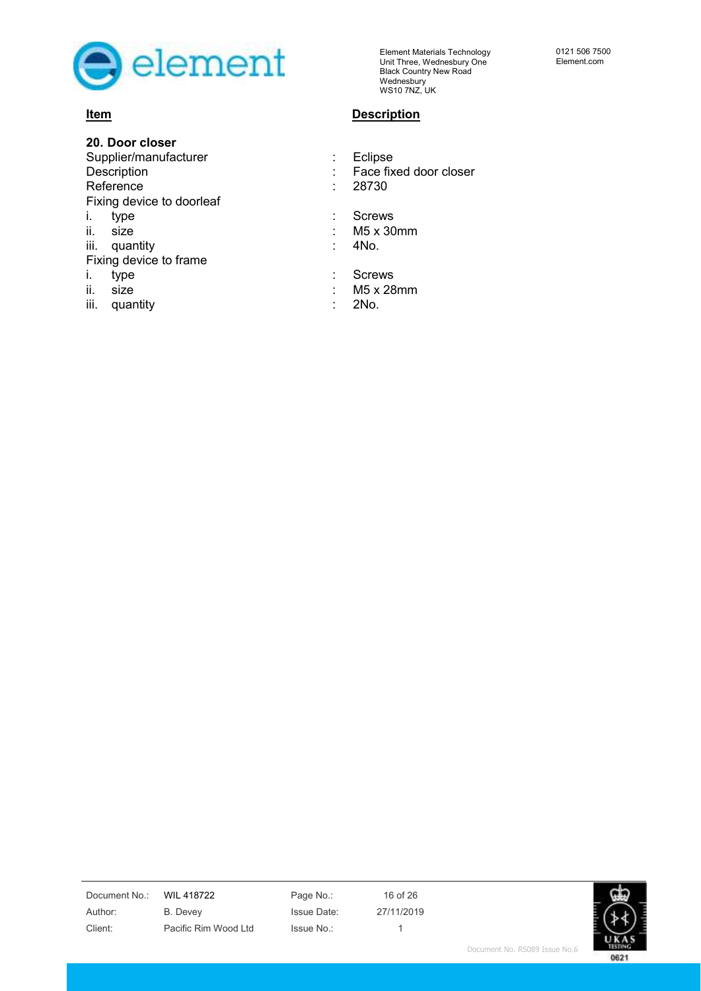

#### **20. Door closer**

Description **Description :** Face fixed door closer Reference : 28730 Fixing device to doorleaf

- 
- 
- iii. quantity iii. 4No.

Fixing device to frame

- 
- 
- iii. quantity iii. 2No.

Element Materials Technology Unit Three, Wednesbury One Black Country New Road Wednesbury WS10 7NZ, UK

#### **Item Description**

Supplier/manufacturer : Eclipse i. type : Screws

- ii. size : M5 x 30mm
	-

i. type  $\qquad \qquad$ : Screws

- $i.$  size  $\cdot$  M5 x 28mm
	-

0121 506 7500 Element.com

Document No.: WIL 418722 Page No.: 16 of 26

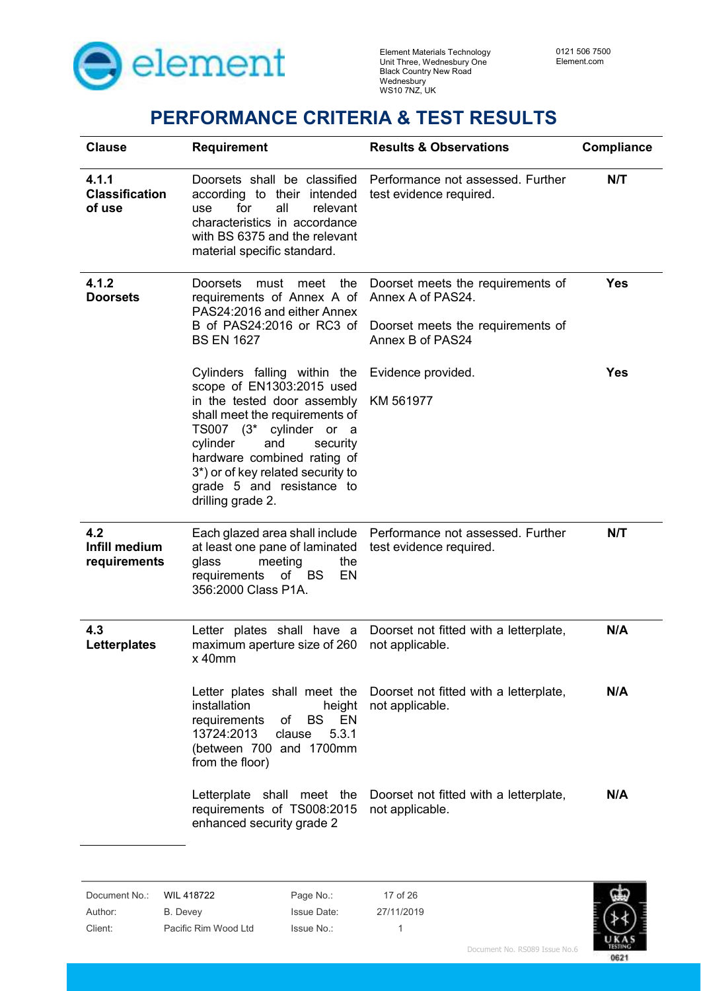

## **PERFORMANCE CRITERIA & TEST RESULTS**

| <b>Clause</b>                            | <b>Requirement</b>                                                                                                                                                                                                                                                                                         | <b>Results &amp; Observations</b>                                                                               | Compliance |
|------------------------------------------|------------------------------------------------------------------------------------------------------------------------------------------------------------------------------------------------------------------------------------------------------------------------------------------------------------|-----------------------------------------------------------------------------------------------------------------|------------|
| 4.1.1<br><b>Classification</b><br>of use | according to their intended<br>for<br>all<br>use<br>relevant<br>characteristics in accordance<br>with BS 6375 and the relevant<br>material specific standard.                                                                                                                                              | Doorsets shall be classified Performance not assessed. Further<br>test evidence required.                       | N/T        |
| 4.1.2<br><b>Doorsets</b>                 | <b>Doorsets</b><br>must<br>the<br>meet<br>requirements of Annex A of<br>PAS24:2016 and either Annex<br>B of PAS24:2016 or RC3 of<br><b>BS EN 1627</b>                                                                                                                                                      | Doorset meets the requirements of<br>Annex A of PAS24.<br>Doorset meets the requirements of<br>Annex B of PAS24 | <b>Yes</b> |
|                                          | Cylinders falling within the<br>scope of EN1303:2015 used<br>in the tested door assembly<br>shall meet the requirements of<br>TS007 (3* cylinder or a<br>cylinder<br>and<br>security<br>hardware combined rating of<br>3*) or of key related security to<br>grade 5 and resistance to<br>drilling grade 2. | Evidence provided.<br>KM 561977                                                                                 | <b>Yes</b> |
| 4.2<br>Infill medium<br>requirements     | at least one pane of laminated<br>glass<br>meeting<br>the<br>of BS<br>EN<br>requirements<br>356:2000 Class P1A.                                                                                                                                                                                            | Each glazed area shall include  Performance not assessed. Further<br>test evidence required.                    | N/T        |
| 4.3<br>Letterplates                      | Letter plates shall have a<br>maximum aperture size of 260<br>x 40mm                                                                                                                                                                                                                                       | Doorset not fitted with a letterplate,<br>not applicable.                                                       | N/A        |
|                                          | Letter plates shall meet the<br>installation<br>height<br><b>BS</b><br>EN<br>requirements<br>of<br>13724:2013<br>clause<br>5.3.1<br>(between 700 and 1700mm<br>from the floor)                                                                                                                             | Doorset not fitted with a letterplate,<br>not applicable.                                                       | N/A        |
|                                          | Letterplate shall meet the<br>requirements of TS008:2015<br>enhanced security grade 2                                                                                                                                                                                                                      | Doorset not fitted with a letterplate,<br>not applicable.                                                       | N/A        |

Document No.: WIL 418722 Page No.: 17 of 26 Author: B. Devey Issue Date: 27/11/2019

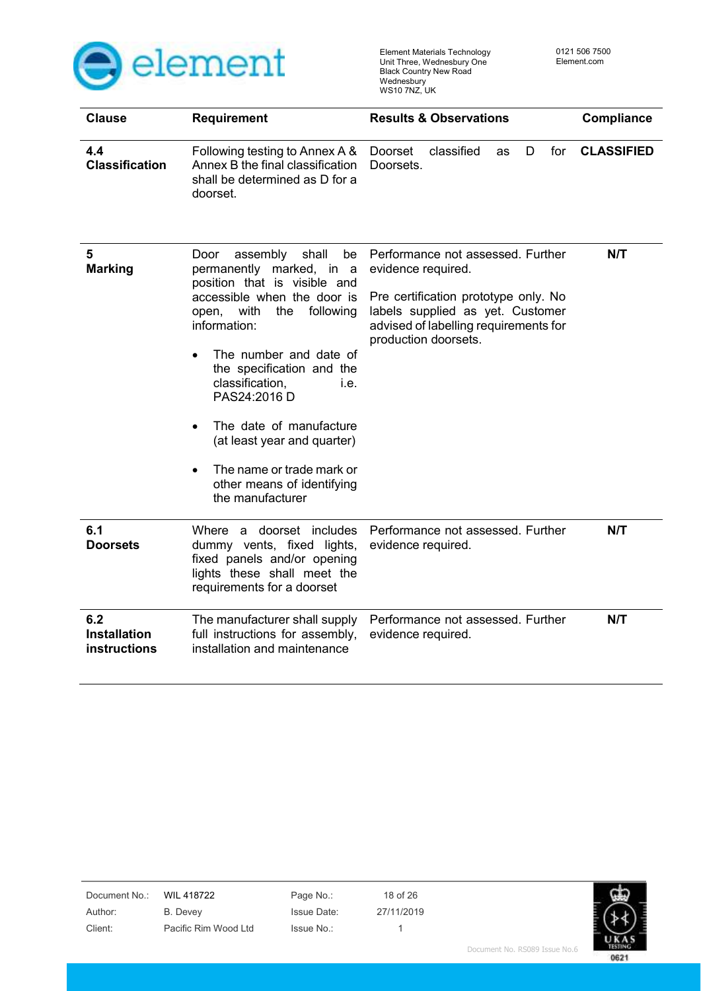

0621

| <b>Clause</b>                                     | <b>Requirement</b>                                                                                                                                                                                                                                                                                                                                                                                                                                   | <b>Results &amp; Observations</b>                                                                                                                                                                    | <b>Compliance</b> |
|---------------------------------------------------|------------------------------------------------------------------------------------------------------------------------------------------------------------------------------------------------------------------------------------------------------------------------------------------------------------------------------------------------------------------------------------------------------------------------------------------------------|------------------------------------------------------------------------------------------------------------------------------------------------------------------------------------------------------|-------------------|
| 4.4<br><b>Classification</b>                      | Following testing to Annex A &<br>Annex B the final classification<br>shall be determined as D for a<br>doorset.                                                                                                                                                                                                                                                                                                                                     | classified<br>for<br>Doorset<br>D<br>as<br>Doorsets.                                                                                                                                                 | <b>CLASSIFIED</b> |
| 5<br><b>Marking</b>                               | assembly<br>shall<br>Door<br>be<br>permanently marked, in a<br>position that is visible and<br>accessible when the door is<br>with<br>the<br>following<br>open,<br>information:<br>The number and date of<br>the specification and the<br>classification,<br>i.e.<br>PAS24:2016 D<br>The date of manufacture<br>$\bullet$<br>(at least year and quarter)<br>The name or trade mark or<br>$\bullet$<br>other means of identifying<br>the manufacturer | Performance not assessed. Further<br>evidence required.<br>Pre certification prototype only. No<br>labels supplied as yet. Customer<br>advised of labelling requirements for<br>production doorsets. | N/T               |
| 6.1<br><b>Doorsets</b>                            | Where a doorset includes<br>dummy vents, fixed lights,<br>fixed panels and/or opening<br>lights these shall meet the<br>requirements for a doorset                                                                                                                                                                                                                                                                                                   | Performance not assessed. Further<br>evidence required.                                                                                                                                              | N/T               |
| 6.2<br><b>Installation</b><br><b>instructions</b> | The manufacturer shall supply<br>full instructions for assembly,<br>installation and maintenance                                                                                                                                                                                                                                                                                                                                                     | Performance not assessed. Further<br>evidence required.                                                                                                                                              | N/T               |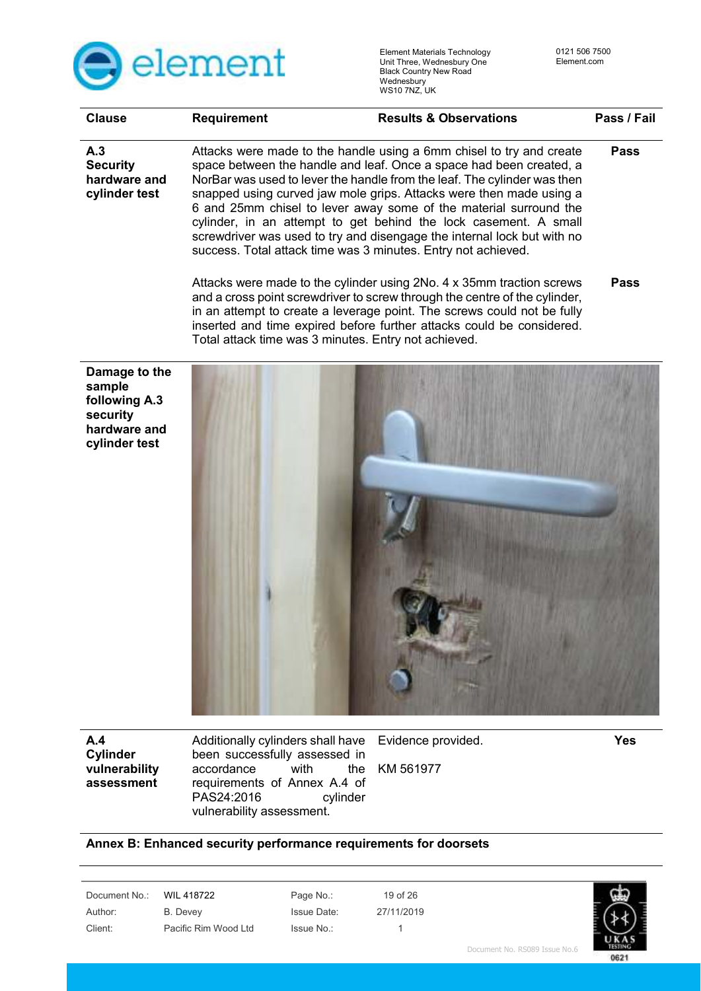

| <b>Clause</b>                                                                         | Requirement | <b>Results &amp; Observations</b>                                                                                                                                                                                                                                                                                                                                                                                                                                                                                                                                                   | Pass / Fail |
|---------------------------------------------------------------------------------------|-------------|-------------------------------------------------------------------------------------------------------------------------------------------------------------------------------------------------------------------------------------------------------------------------------------------------------------------------------------------------------------------------------------------------------------------------------------------------------------------------------------------------------------------------------------------------------------------------------------|-------------|
| A.3<br><b>Security</b><br>hardware and<br>cylinder test                               |             | Attacks were made to the handle using a 6mm chisel to try and create<br>space between the handle and leaf. Once a space had been created, a<br>NorBar was used to lever the handle from the leaf. The cylinder was then<br>snapped using curved jaw mole grips. Attacks were then made using a<br>6 and 25mm chisel to lever away some of the material surround the<br>cylinder, in an attempt to get behind the lock casement. A small<br>screwdriver was used to try and disengage the internal lock but with no<br>success. Total attack time was 3 minutes. Entry not achieved. | <b>Pass</b> |
|                                                                                       |             | Attacks were made to the cylinder using 2No. 4 x 35mm traction screws<br>and a cross point screwdriver to screw through the centre of the cylinder,<br>in an attempt to create a leverage point. The screws could not be fully<br>inserted and time expired before further attacks could be considered.<br>Total attack time was 3 minutes. Entry not achieved.                                                                                                                                                                                                                     | Pass        |
| Damage to the<br>sample<br>following A.3<br>security<br>hardware and<br>cylinder test |             |                                                                                                                                                                                                                                                                                                                                                                                                                                                                                                                                                                                     |             |

**A.4 Cylinder vulnerability assessment** 

Additionally cylinders shall have been successfully assessed in<br>accordance with the accordance with the requirements of Annex A.4 of<br>PAS24:2016 cylinder PAS24:2016 vulnerability assessment.

Evidence provided.

KM 561977

**Yes** 

### **Annex B: Enhanced security performance requirements for doorsets**

Document No.: WIL 418722 Page No.: 19 of 26

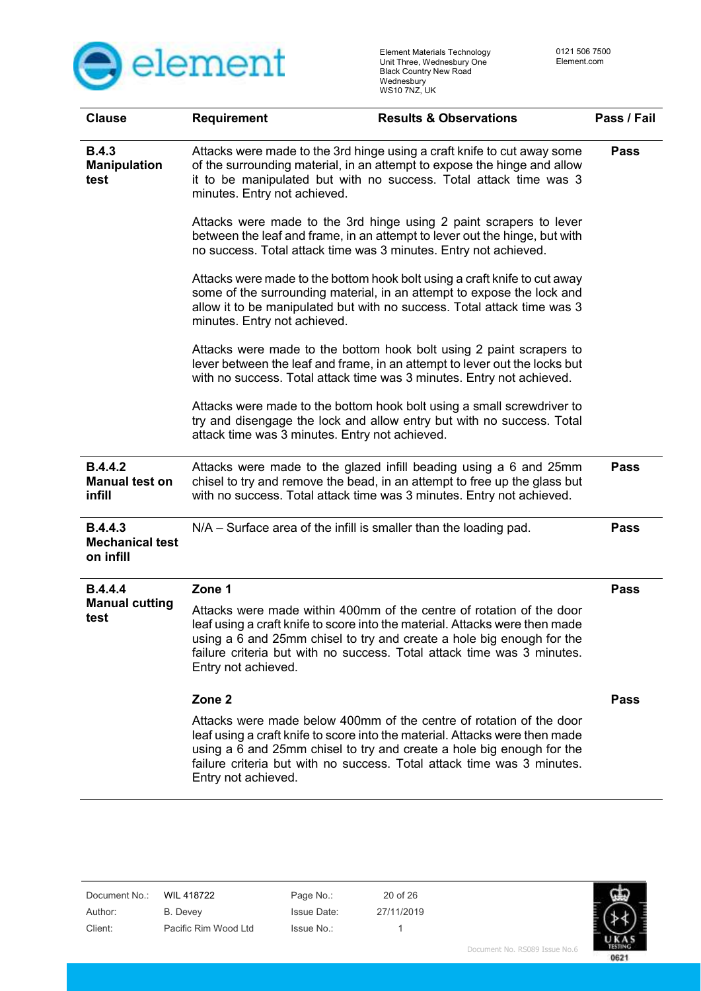

| <b>Clause</b>                                         | <b>Requirement</b>                                                                                                                                                                                                                                       | <b>Results &amp; Observations</b>                                                                                                                                                                                                                                                                      | Pass / Fail |
|-------------------------------------------------------|----------------------------------------------------------------------------------------------------------------------------------------------------------------------------------------------------------------------------------------------------------|--------------------------------------------------------------------------------------------------------------------------------------------------------------------------------------------------------------------------------------------------------------------------------------------------------|-------------|
| <b>B.4.3</b><br><b>Manipulation</b><br>test           | Attacks were made to the 3rd hinge using a craft knife to cut away some<br>of the surrounding material, in an attempt to expose the hinge and allow<br>it to be manipulated but with no success. Total attack time was 3<br>minutes. Entry not achieved. |                                                                                                                                                                                                                                                                                                        |             |
|                                                       | no success. Total attack time was 3 minutes. Entry not achieved.                                                                                                                                                                                         | Attacks were made to the 3rd hinge using 2 paint scrapers to lever<br>between the leaf and frame, in an attempt to lever out the hinge, but with                                                                                                                                                       |             |
|                                                       | minutes. Entry not achieved.                                                                                                                                                                                                                             | Attacks were made to the bottom hook bolt using a craft knife to cut away<br>some of the surrounding material, in an attempt to expose the lock and<br>allow it to be manipulated but with no success. Total attack time was 3                                                                         |             |
|                                                       |                                                                                                                                                                                                                                                          | Attacks were made to the bottom hook bolt using 2 paint scrapers to<br>lever between the leaf and frame, in an attempt to lever out the locks but<br>with no success. Total attack time was 3 minutes. Entry not achieved.                                                                             |             |
|                                                       | attack time was 3 minutes. Entry not achieved.                                                                                                                                                                                                           | Attacks were made to the bottom hook bolt using a small screwdriver to<br>try and disengage the lock and allow entry but with no success. Total                                                                                                                                                        |             |
| <b>B.4.4.2</b><br><b>Manual test on</b><br>infill     |                                                                                                                                                                                                                                                          | Attacks were made to the glazed infill beading using a 6 and 25mm<br>chisel to try and remove the bead, in an attempt to free up the glass but<br>with no success. Total attack time was 3 minutes. Entry not achieved.                                                                                | <b>Pass</b> |
| <b>B.4.4.3</b><br><b>Mechanical test</b><br>on infill | N/A – Surface area of the infill is smaller than the loading pad.                                                                                                                                                                                        |                                                                                                                                                                                                                                                                                                        | <b>Pass</b> |
| <b>B.4.4.4</b>                                        | Zone 1                                                                                                                                                                                                                                                   |                                                                                                                                                                                                                                                                                                        | <b>Pass</b> |
| <b>Manual cutting</b><br>test                         | Entry not achieved.                                                                                                                                                                                                                                      | Attacks were made within 400mm of the centre of rotation of the door<br>leaf using a craft knife to score into the material. Attacks were then made<br>using a 6 and 25mm chisel to try and create a hole big enough for the<br>failure criteria but with no success. Total attack time was 3 minutes. |             |
|                                                       | Zone <sub>2</sub>                                                                                                                                                                                                                                        |                                                                                                                                                                                                                                                                                                        | Pass        |
|                                                       | Entry not achieved.                                                                                                                                                                                                                                      | Attacks were made below 400mm of the centre of rotation of the door<br>leaf using a craft knife to score into the material. Attacks were then made<br>using a 6 and 25mm chisel to try and create a hole big enough for the<br>failure criteria but with no success. Total attack time was 3 minutes.  |             |

Document No.: WIL 418722 Page No.: 20 of 26 Author: B. Devey Issue Date: 27/11/2019 Client: Pacific Rim Wood Ltd Issue No.: 1 0621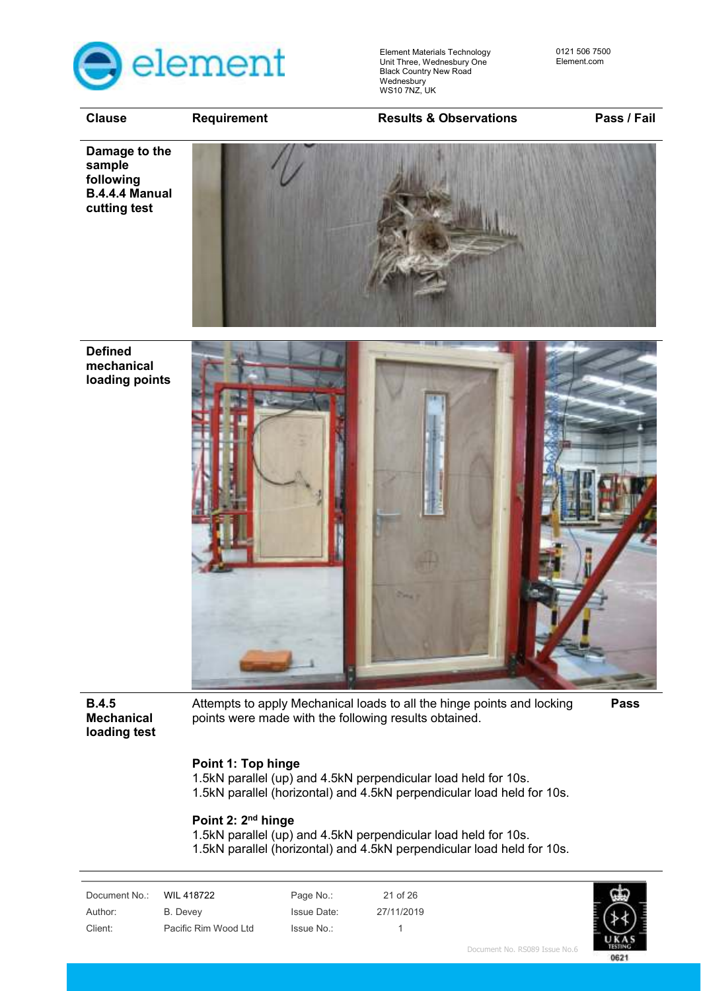

**Clause Requirement Results & Observations Pass / Fail** 

**Damage to the sample following B.4.4.4 Manual cutting test** 



**Defined mechanical loading points** 



**B.4.5 Mechanical loading test**  Attempts to apply Mechanical loads to all the hinge points and locking points were made with the following results obtained. **Pass** 

#### **Point 1: Top hinge**

1.5kN parallel (up) and 4.5kN perpendicular load held for 10s. 1.5kN parallel (horizontal) and 4.5kN perpendicular load held for 10s.

#### **Point 2: 2nd hinge**

1.5kN parallel (up) and 4.5kN perpendicular load held for 10s. 1.5kN parallel (horizontal) and 4.5kN perpendicular load held for 10s.

| WIL 418722           | Page No.:          | 21 of 26   |  |
|----------------------|--------------------|------------|--|
| B. Devey             | <b>Issue Date:</b> | 27/11/2019 |  |
| Pacific Rim Wood Ltd | Issue No.:         |            |  |
|                      |                    |            |  |

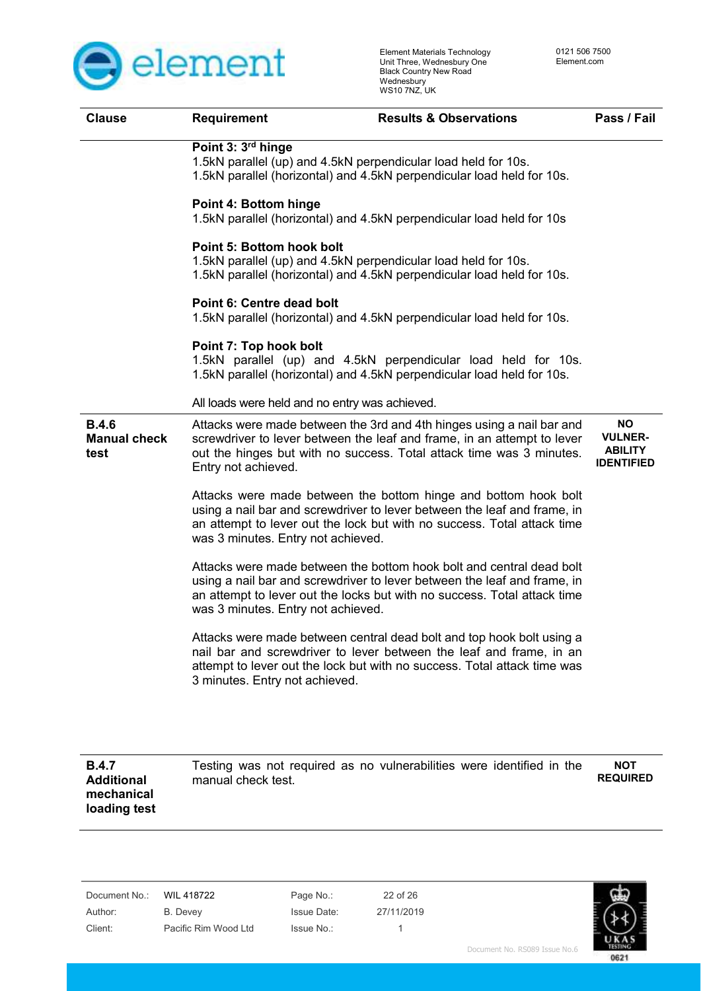

| <b>Clause</b>                               | <b>Requirement</b>                             | <b>Results &amp; Observations</b>                                                                                                                                                                                            | Pass / Fail                                                        |
|---------------------------------------------|------------------------------------------------|------------------------------------------------------------------------------------------------------------------------------------------------------------------------------------------------------------------------------|--------------------------------------------------------------------|
|                                             | Point 3: 3 <sup>rd</sup> hinge                 | 1.5kN parallel (up) and 4.5kN perpendicular load held for 10s.<br>1.5kN parallel (horizontal) and 4.5kN perpendicular load held for 10s.                                                                                     |                                                                    |
|                                             | Point 4: Bottom hinge                          | 1.5kN parallel (horizontal) and 4.5kN perpendicular load held for 10s                                                                                                                                                        |                                                                    |
|                                             | <b>Point 5: Bottom hook bolt</b>               | 1.5kN parallel (up) and 4.5kN perpendicular load held for 10s.<br>1.5kN parallel (horizontal) and 4.5kN perpendicular load held for 10s.                                                                                     |                                                                    |
|                                             | Point 6: Centre dead bolt                      | 1.5kN parallel (horizontal) and 4.5kN perpendicular load held for 10s.                                                                                                                                                       |                                                                    |
|                                             | Point 7: Top hook bolt                         | 1.5kN parallel (up) and 4.5kN perpendicular load held for 10s.<br>1.5kN parallel (horizontal) and 4.5kN perpendicular load held for 10s.                                                                                     |                                                                    |
|                                             | All loads were held and no entry was achieved. |                                                                                                                                                                                                                              |                                                                    |
| <b>B.4.6</b><br><b>Manual check</b><br>test | Entry not achieved.                            | Attacks were made between the 3rd and 4th hinges using a nail bar and<br>screwdriver to lever between the leaf and frame, in an attempt to lever<br>out the hinges but with no success. Total attack time was 3 minutes.     | <b>NO</b><br><b>VULNER-</b><br><b>ABILITY</b><br><b>IDENTIFIED</b> |
|                                             | was 3 minutes. Entry not achieved.             | Attacks were made between the bottom hinge and bottom hook bolt<br>using a nail bar and screwdriver to lever between the leaf and frame, in<br>an attempt to lever out the lock but with no success. Total attack time       |                                                                    |
|                                             | was 3 minutes. Entry not achieved.             | Attacks were made between the bottom hook bolt and central dead bolt<br>using a nail bar and screwdriver to lever between the leaf and frame, in<br>an attempt to lever out the locks but with no success. Total attack time |                                                                    |
|                                             | 3 minutes. Entry not achieved.                 | Attacks were made between central dead bolt and top hook bolt using a<br>nail bar and screwdriver to lever between the leaf and frame, in an<br>attempt to lever out the lock but with no success. Total attack time was     |                                                                    |
|                                             |                                                |                                                                                                                                                                                                                              |                                                                    |
| <b>B.4.7</b><br><b>Additional</b>           | manual check test.                             | Testing was not required as no vulnerabilities were identified in the                                                                                                                                                        | <b>NOT</b><br><b>REQUIRED</b>                                      |

| Document No.: | WIL 418722           | Page No.:          | 22 of 26   |
|---------------|----------------------|--------------------|------------|
| Author:       | B. Devey             | <b>Issue Date:</b> | 27/11/2019 |
| Client:       | Pacific Rim Wood Ltd | Issue No.:         |            |

**mechanical loading test** 

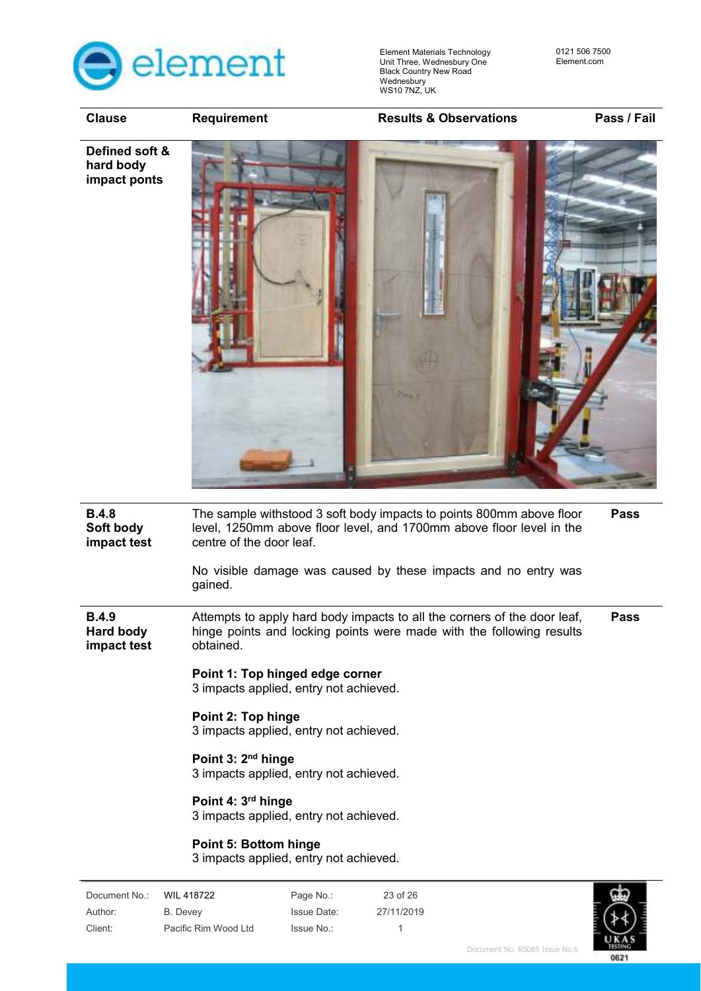

**Clause Requirement Results & Observations Pass / Fail** 



| <b>B.4.8</b><br>Soft body<br>impact test |                                | centre of the door leaf.                                                  |            | The sample withstood 3 soft body impacts to points 800mm above floor<br>level, 1250mm above floor level, and 1700mm above floor level in the<br>No visible damage was caused by these impacts and no entry was | <b>Pass</b> |
|------------------------------------------|--------------------------------|---------------------------------------------------------------------------|------------|----------------------------------------------------------------------------------------------------------------------------------------------------------------------------------------------------------------|-------------|
|                                          | gained.                        |                                                                           |            |                                                                                                                                                                                                                |             |
| <b>B.4.9</b><br>Hard body<br>impact test | obtained.                      |                                                                           |            | Attempts to apply hard body impacts to all the corners of the door leaf,<br>hinge points and locking points were made with the following results                                                               | <b>Pass</b> |
|                                          |                                | Point 1: Top hinged edge corner<br>3 impacts applied, entry not achieved. |            |                                                                                                                                                                                                                |             |
|                                          |                                | Point 2: Top hinge<br>3 impacts applied, entry not achieved.              |            |                                                                                                                                                                                                                |             |
|                                          |                                | Point 3: $2nd$ hinge<br>3 impacts applied, entry not achieved.            |            |                                                                                                                                                                                                                |             |
|                                          | Point 4: 3 <sup>rd</sup> hinge | 3 impacts applied, entry not achieved.                                    |            |                                                                                                                                                                                                                |             |
|                                          |                                | Point 5: Bottom hinge<br>3 impacts applied, entry not achieved.           |            |                                                                                                                                                                                                                |             |
| Document No.:                            | WIL 418722                     | Page No.:                                                                 | 23 of 26   |                                                                                                                                                                                                                |             |
| Author:                                  | <b>B.</b> Devey                | <b>Issue Date:</b>                                                        | 27/11/2019 |                                                                                                                                                                                                                |             |

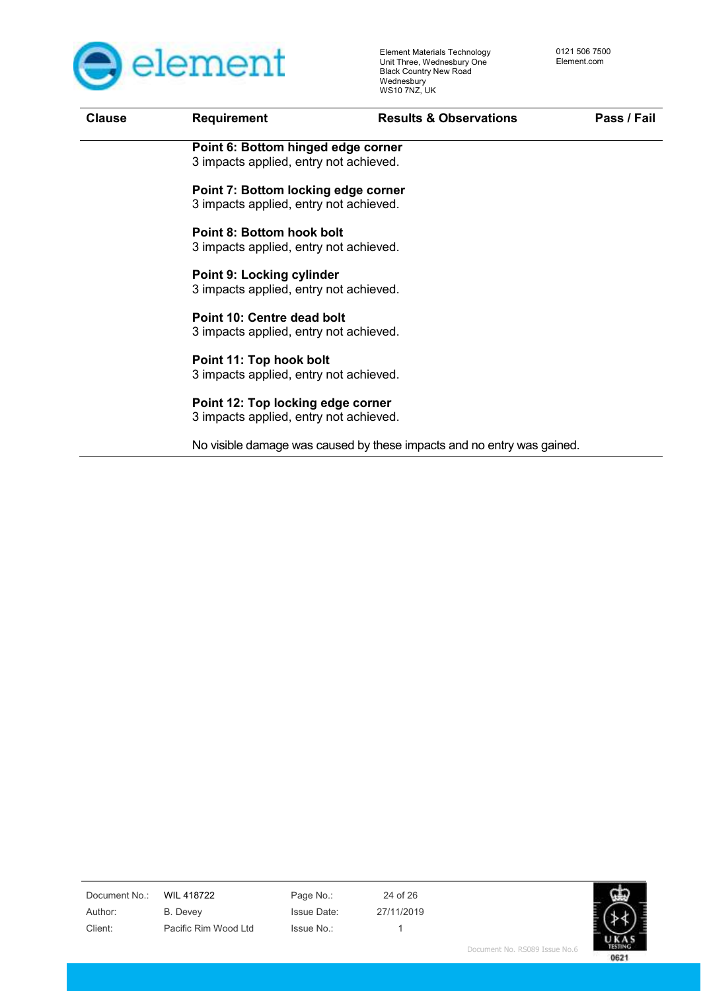

| <b>Clause</b> | <b>Requirement</b>                     | <b>Results &amp; Observations</b>                                      | Pass / Fail |
|---------------|----------------------------------------|------------------------------------------------------------------------|-------------|
|               | Point 6: Bottom hinged edge corner     |                                                                        |             |
|               | 3 impacts applied, entry not achieved. |                                                                        |             |
|               | Point 7: Bottom locking edge corner    |                                                                        |             |
|               | 3 impacts applied, entry not achieved. |                                                                        |             |
|               | Point 8: Bottom hook bolt              |                                                                        |             |
|               | 3 impacts applied, entry not achieved. |                                                                        |             |
|               | <b>Point 9: Locking cylinder</b>       |                                                                        |             |
|               | 3 impacts applied, entry not achieved. |                                                                        |             |
|               | Point 10: Centre dead bolt             |                                                                        |             |
|               | 3 impacts applied, entry not achieved. |                                                                        |             |
|               | Point 11: Top hook bolt                |                                                                        |             |
|               | 3 impacts applied, entry not achieved. |                                                                        |             |
|               | Point 12: Top locking edge corner      |                                                                        |             |
|               | 3 impacts applied, entry not achieved. |                                                                        |             |
|               |                                        | No visible damage was caused by these impacts and no entry was gained. |             |
|               |                                        |                                                                        |             |
|               |                                        |                                                                        |             |

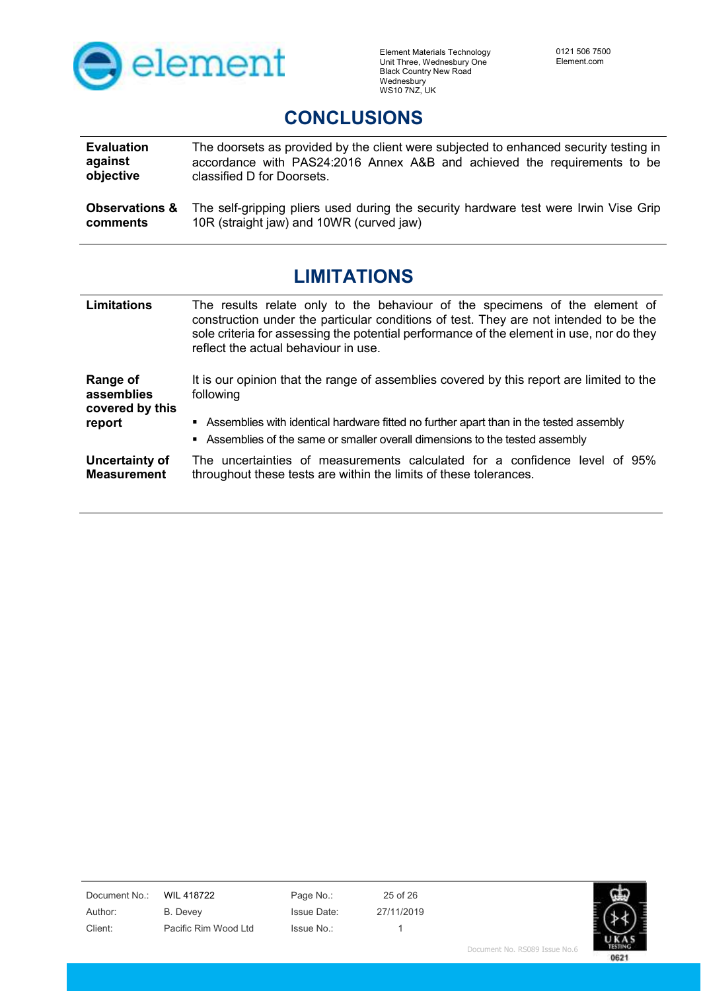

## **CONCLUSIONS**

| <b>Evaluation</b>         | The doorsets as provided by the client were subjected to enhanced security testing in |
|---------------------------|---------------------------------------------------------------------------------------|
| against                   | accordance with PAS24:2016 Annex A&B and achieved the requirements to be              |
| objective                 | classified D for Doorsets.                                                            |
| <b>Observations &amp;</b> | The self-gripping pliers used during the security hardware test were Irwin Vise Grip  |
| comments                  | 10R (straight jaw) and 10WR (curved jaw)                                              |

## **LIMITATIONS**

| Limitations                               | The results relate only to the behaviour of the specimens of the element of<br>construction under the particular conditions of test. They are not intended to be the<br>sole criteria for assessing the potential performance of the element in use, nor do they<br>reflect the actual behaviour in use. |
|-------------------------------------------|----------------------------------------------------------------------------------------------------------------------------------------------------------------------------------------------------------------------------------------------------------------------------------------------------------|
| Range of<br>assemblies<br>covered by this | It is our opinion that the range of assemblies covered by this report are limited to the<br>following                                                                                                                                                                                                    |
| report                                    | Assemblies with identical hardware fitted no further apart than in the tested assembly<br>• Assemblies of the same or smaller overall dimensions to the tested assembly                                                                                                                                  |
| Uncertainty of<br><b>Measurement</b>      | The uncertainties of measurements calculated for a confidence level of 95%<br>throughout these tests are within the limits of these tolerances.                                                                                                                                                          |

Document No.: WIL 418722 Page No.: 25 of 26 Author: B. Devey Issue Date: 27/11/2019